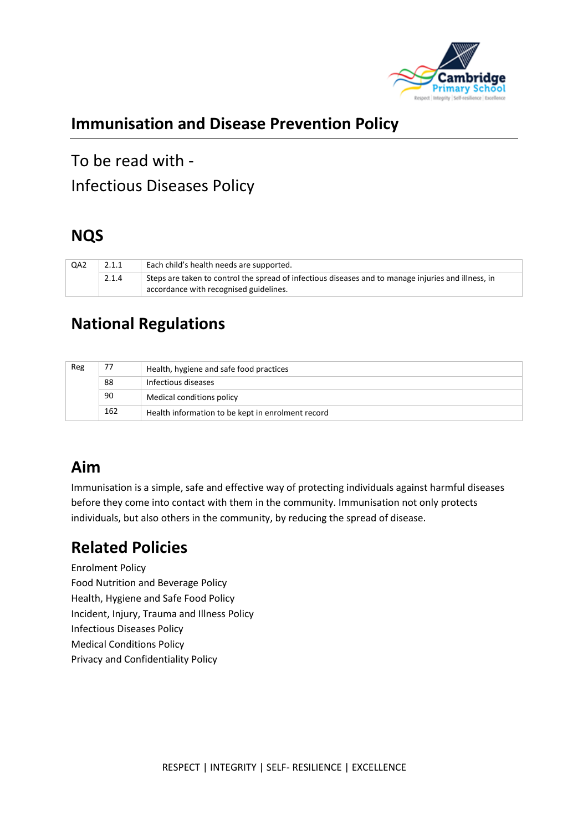

## **Immunisation and Disease Prevention Policy**

To be read with - Infectious Diseases Policy

### **NQS**

| QA2 | 2.1.1 | Each child's health needs are supported.                                                                                                      |
|-----|-------|-----------------------------------------------------------------------------------------------------------------------------------------------|
|     | 2.1.4 | Steps are taken to control the spread of infectious diseases and to manage injuries and illness, in<br>accordance with recognised guidelines. |

## **National Regulations**

| Reg | 77  | Health, hygiene and safe food practices           |  |  |
|-----|-----|---------------------------------------------------|--|--|
|     | 88  | Infectious diseases                               |  |  |
|     | 90  | Medical conditions policy                         |  |  |
|     | 162 | Health information to be kept in enrolment record |  |  |

# **Aim**

Immunisation is a simple, safe and effective way of protecting individuals against harmful diseases before they come into contact with them in the community. Immunisation not only protects individuals, but also others in the community, by reducing the spread of disease.

# **Related Policies**

Enrolment Policy Food Nutrition and Beverage Policy Health, Hygiene and Safe Food Policy Incident, Injury, Trauma and Illness Policy Infectious Diseases Policy Medical Conditions Policy Privacy and Confidentiality Policy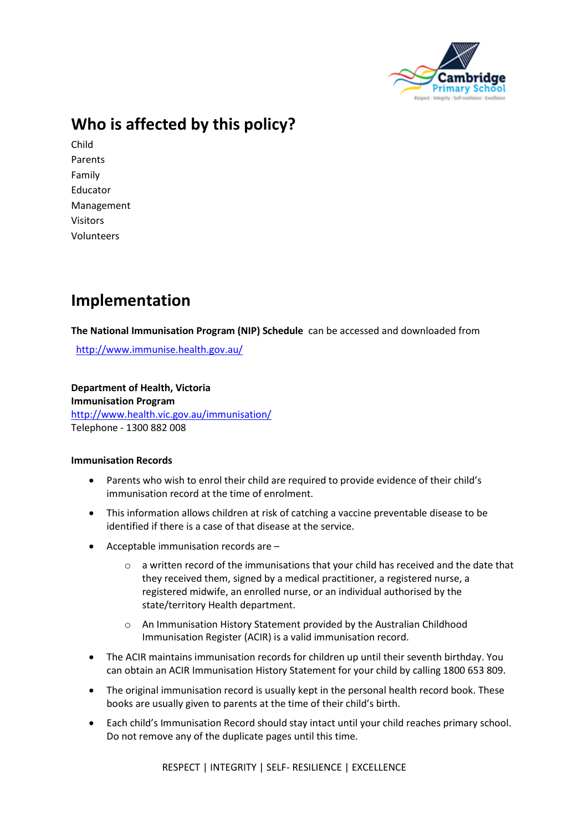

# **Who is affected by this policy?**

Child Parents Family Educator Management Visitors Volunteers

### **Implementation**

**The National Immunisation Program (NIP) Schedule** can be accessed and downloaded from

<http://www.immunise.health.gov.au/>

**Department of Health, Victoria Immunisation Program** <http://www.health.vic.gov.au/immunisation/> Telephone - 1300 882 008

#### **Immunisation Records**

- Parents who wish to enrol their child are required to provide evidence of their child's immunisation record at the time of enrolment.
- This information allows children at risk of catching a vaccine preventable disease to be identified if there is a case of that disease at the service.
- Acceptable immunisation records are
	- o a written record of the immunisations that your child has received and the date that they received them, signed by a medical practitioner, a registered nurse, a registered midwife, an enrolled nurse, or an individual authorised by the state/territory Health department.
	- o An Immunisation History Statement provided by the Australian Childhood Immunisation Register (ACIR) is a valid immunisation record.
- The ACIR maintains immunisation records for children up until their seventh birthday. You can obtain an ACIR Immunisation History Statement for your child by calling 1800 653 809.
- The original immunisation record is usually kept in the personal health record book. These books are usually given to parents at the time of their child's birth.
- Each child's Immunisation Record should stay intact until your child reaches primary school. Do not remove any of the duplicate pages until this time.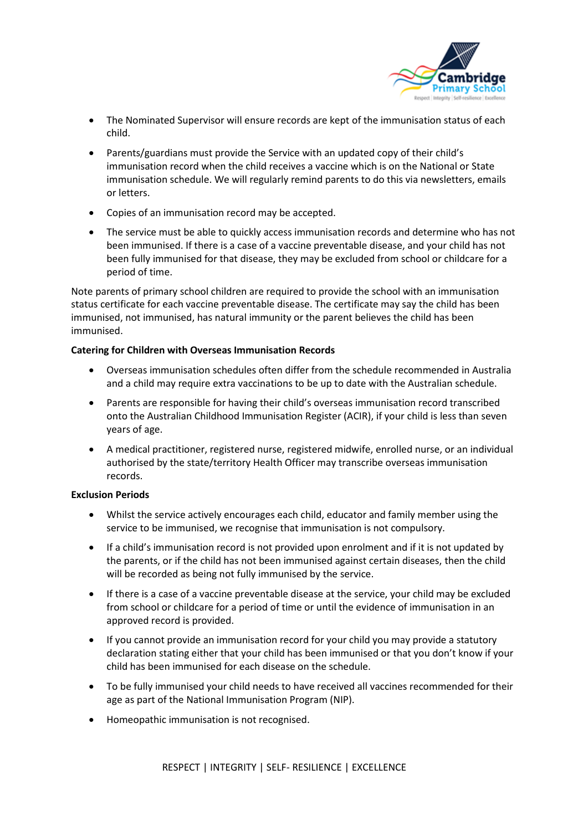

- The Nominated Supervisor will ensure records are kept of the immunisation status of each child.
- Parents/guardians must provide the Service with an updated copy of their child's immunisation record when the child receives a vaccine which is on the National or State immunisation schedule. We will regularly remind parents to do this via newsletters, emails or letters.
- Copies of an immunisation record may be accepted.
- The service must be able to quickly access immunisation records and determine who has not been immunised. If there is a case of a vaccine preventable disease, and your child has not been fully immunised for that disease, they may be excluded from school or childcare for a period of time.

Note parents of primary school children are required to provide the school with an immunisation status certificate for each vaccine preventable disease. The certificate may say the child has been immunised, not immunised, has natural immunity or the parent believes the child has been immunised.

#### **Catering for Children with Overseas Immunisation Records**

- Overseas immunisation schedules often differ from the schedule recommended in Australia and a child may require extra vaccinations to be up to date with the Australian schedule.
- Parents are responsible for having their child's overseas immunisation record transcribed onto the Australian Childhood Immunisation Register (ACIR), if your child is less than seven years of age.
- A medical practitioner, registered nurse, registered midwife, enrolled nurse, or an individual authorised by the state/territory Health Officer may transcribe overseas immunisation records.

#### **Exclusion Periods**

- Whilst the service actively encourages each child, educator and family member using the service to be immunised, we recognise that immunisation is not compulsory.
- If a child's immunisation record is not provided upon enrolment and if it is not updated by the parents, or if the child has not been immunised against certain diseases, then the child will be recorded as being not fully immunised by the service.
- If there is a case of a vaccine preventable disease at the service, your child may be excluded from school or childcare for a period of time or until the evidence of immunisation in an approved record is provided.
- If you cannot provide an immunisation record for your child you may provide a statutory declaration stating either that your child has been immunised or that you don't know if your child has been immunised for each disease on the schedule.
- To be fully immunised your child needs to have received all vaccines recommended for their age as part of the National Immunisation Program (NIP).
- Homeopathic immunisation is not recognised.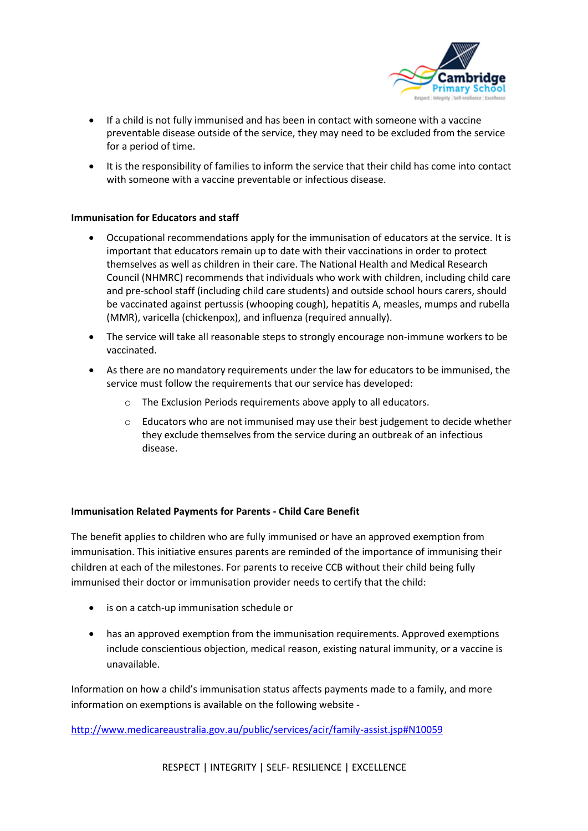

- If a child is not fully immunised and has been in contact with someone with a vaccine preventable disease outside of the service, they may need to be excluded from the service for a period of time.
- It is the responsibility of families to inform the service that their child has come into contact with someone with a vaccine preventable or infectious disease.

#### **Immunisation for Educators and staff**

- Occupational recommendations apply for the immunisation of educators at the service. It is important that educators remain up to date with their vaccinations in order to protect themselves as well as children in their care. The National Health and Medical Research Council (NHMRC) recommends that individuals who work with children, including child care and pre-school staff (including child care students) and outside school hours carers, should be vaccinated against pertussis (whooping cough), hepatitis A, measles, mumps and rubella (MMR), varicella (chickenpox), and influenza (required annually).
- The service will take all reasonable steps to strongly encourage non-immune workers to be vaccinated.
- As there are no mandatory requirements under the law for educators to be immunised, the service must follow the requirements that our service has developed:
	- o The Exclusion Periods requirements above apply to all educators.
	- o Educators who are not immunised may use their best judgement to decide whether they exclude themselves from the service during an outbreak of an infectious disease.

#### **Immunisation Related Payments for Parents - Child Care Benefit**

The benefit applies to children who are fully immunised or have an approved exemption from immunisation. This initiative ensures parents are reminded of the importance of immunising their children at each of the milestones. For parents to receive CCB without their child being fully immunised their doctor or immunisation provider needs to certify that the child:

- is on a catch-up immunisation schedule or
- has an approved exemption from the immunisation requirements. Approved exemptions include conscientious objection, medical reason, existing natural immunity, or a vaccine is unavailable.

Information on how a child's immunisation status affects payments made to a family, and more information on exemptions is available on the following website -

<http://www.medicareaustralia.gov.au/public/services/acir/family-assist.jsp#N10059>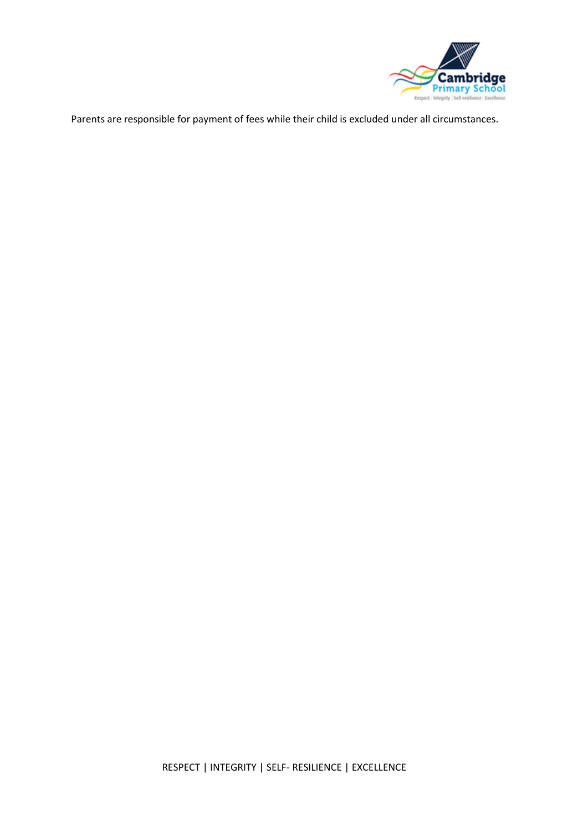

Parents are responsible for payment of fees while their child is excluded under all circumstances.